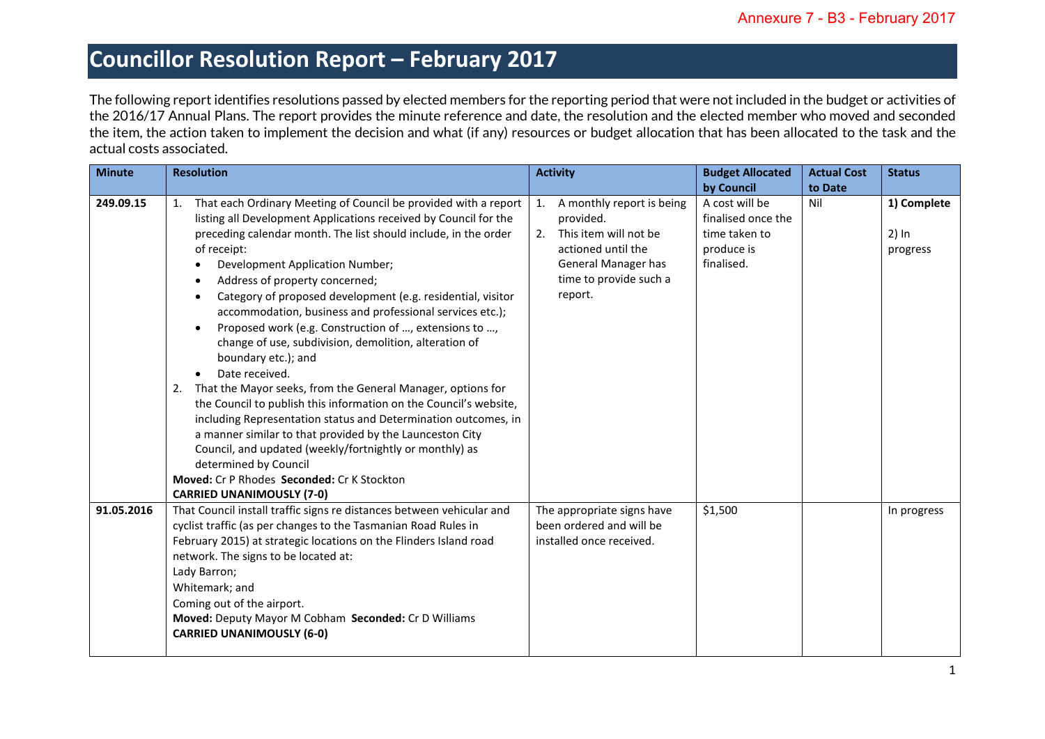The following report identifies resolutions passed by elected members for the reporting period that were not included in the budget or activities of the 2016/17 Annual Plans. The report provides the minute reference and date, the resolution and the elected member who moved and seconded the item, the action taken to implement the decision and what (if any) resources or budget allocation that has been allocated to the task and the actual costs associated.

| <b>Minute</b> | <b>Resolution</b>                                                                                                                                                                                                                                                                                                                                                                                                                                                                                                                                                                                                                                                                                                                                                                                                                                                                                                                                                                                                                                                                     | <b>Activity</b>                                                                                                                                               | <b>Budget Allocated</b>                                                           | <b>Actual Cost</b> | <b>Status</b>                      |
|---------------|---------------------------------------------------------------------------------------------------------------------------------------------------------------------------------------------------------------------------------------------------------------------------------------------------------------------------------------------------------------------------------------------------------------------------------------------------------------------------------------------------------------------------------------------------------------------------------------------------------------------------------------------------------------------------------------------------------------------------------------------------------------------------------------------------------------------------------------------------------------------------------------------------------------------------------------------------------------------------------------------------------------------------------------------------------------------------------------|---------------------------------------------------------------------------------------------------------------------------------------------------------------|-----------------------------------------------------------------------------------|--------------------|------------------------------------|
|               |                                                                                                                                                                                                                                                                                                                                                                                                                                                                                                                                                                                                                                                                                                                                                                                                                                                                                                                                                                                                                                                                                       |                                                                                                                                                               | by Council                                                                        | to Date            |                                    |
| 249.09.15     | That each Ordinary Meeting of Council be provided with a report<br>1.<br>listing all Development Applications received by Council for the<br>preceding calendar month. The list should include, in the order<br>of receipt:<br>Development Application Number;<br>$\bullet$<br>Address of property concerned;<br>$\bullet$<br>Category of proposed development (e.g. residential, visitor<br>$\bullet$<br>accommodation, business and professional services etc.);<br>Proposed work (e.g. Construction of , extensions to ,<br>change of use, subdivision, demolition, alteration of<br>boundary etc.); and<br>Date received.<br>$\bullet$<br>2. That the Mayor seeks, from the General Manager, options for<br>the Council to publish this information on the Council's website,<br>including Representation status and Determination outcomes, in<br>a manner similar to that provided by the Launceston City<br>Council, and updated (weekly/fortnightly or monthly) as<br>determined by Council<br>Moved: Cr P Rhodes Seconded: Cr K Stockton<br><b>CARRIED UNANIMOUSLY (7-0)</b> | A monthly report is being<br>1.<br>provided.<br>This item will not be<br>2.<br>actioned until the<br>General Manager has<br>time to provide such a<br>report. | A cost will be<br>finalised once the<br>time taken to<br>produce is<br>finalised. | Nil                | 1) Complete<br>$2)$ In<br>progress |
| 91.05.2016    | That Council install traffic signs re distances between vehicular and<br>cyclist traffic (as per changes to the Tasmanian Road Rules in<br>February 2015) at strategic locations on the Flinders Island road<br>network. The signs to be located at:<br>Lady Barron;<br>Whitemark; and<br>Coming out of the airport.<br>Moved: Deputy Mayor M Cobham Seconded: Cr D Williams<br><b>CARRIED UNANIMOUSLY (6-0)</b>                                                                                                                                                                                                                                                                                                                                                                                                                                                                                                                                                                                                                                                                      | The appropriate signs have<br>been ordered and will be<br>installed once received.                                                                            | \$1,500                                                                           |                    | In progress                        |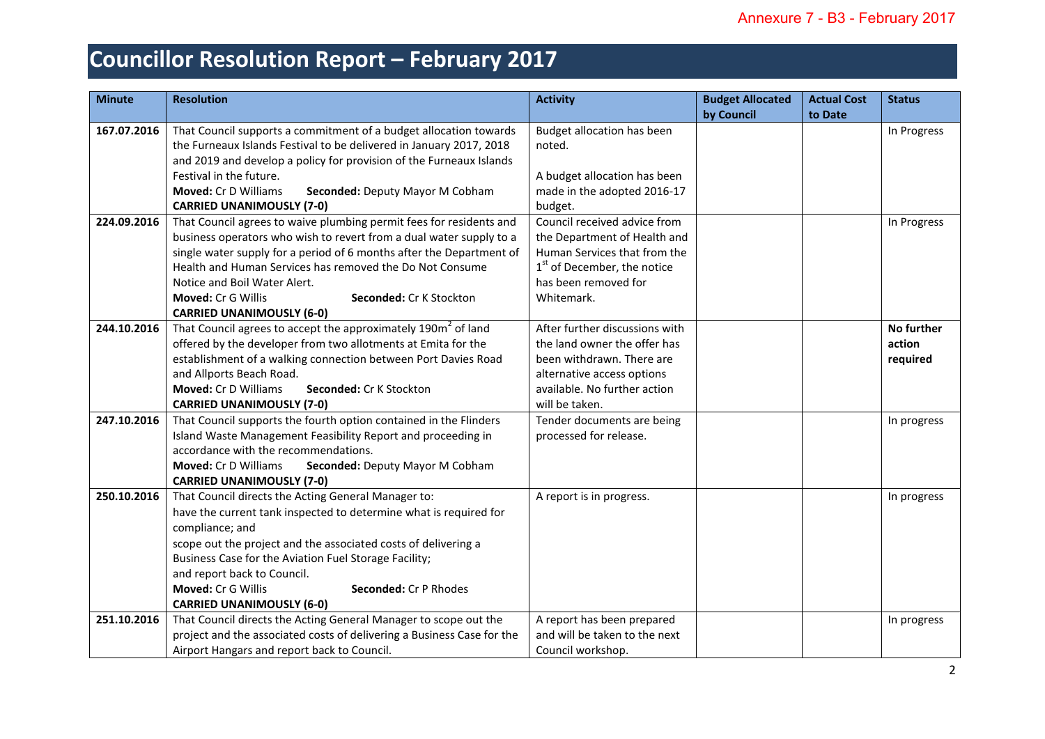| <b>Minute</b> | <b>Resolution</b>                                                         | <b>Activity</b>                         | <b>Budget Allocated</b> | <b>Actual Cost</b> | <b>Status</b> |
|---------------|---------------------------------------------------------------------------|-----------------------------------------|-------------------------|--------------------|---------------|
|               |                                                                           |                                         | by Council              | to Date            |               |
| 167.07.2016   | That Council supports a commitment of a budget allocation towards         | Budget allocation has been              |                         |                    | In Progress   |
|               | the Furneaux Islands Festival to be delivered in January 2017, 2018       | noted.                                  |                         |                    |               |
|               | and 2019 and develop a policy for provision of the Furneaux Islands       |                                         |                         |                    |               |
|               | Festival in the future.                                                   | A budget allocation has been            |                         |                    |               |
|               | <b>Moved: Cr D Williams</b><br>Seconded: Deputy Mayor M Cobham            | made in the adopted 2016-17             |                         |                    |               |
|               | <b>CARRIED UNANIMOUSLY (7-0)</b>                                          | budget.                                 |                         |                    |               |
| 224.09.2016   | That Council agrees to waive plumbing permit fees for residents and       | Council received advice from            |                         |                    | In Progress   |
|               | business operators who wish to revert from a dual water supply to a       | the Department of Health and            |                         |                    |               |
|               | single water supply for a period of 6 months after the Department of      | Human Services that from the            |                         |                    |               |
|               | Health and Human Services has removed the Do Not Consume                  | 1 <sup>st</sup> of December, the notice |                         |                    |               |
|               | Notice and Boil Water Alert.                                              | has been removed for                    |                         |                    |               |
|               | Moved: Cr G Willis<br>Seconded: Cr K Stockton                             | Whitemark.                              |                         |                    |               |
|               | <b>CARRIED UNANIMOUSLY (6-0)</b>                                          |                                         |                         |                    |               |
| 244.10.2016   | That Council agrees to accept the approximately 190m <sup>2</sup> of land | After further discussions with          |                         |                    | No further    |
|               | offered by the developer from two allotments at Emita for the             | the land owner the offer has            |                         |                    | action        |
|               | establishment of a walking connection between Port Davies Road            | been withdrawn. There are               |                         |                    | required      |
|               | and Allports Beach Road.                                                  | alternative access options              |                         |                    |               |
|               | Moved: Cr D Williams<br>Seconded: Cr K Stockton                           | available. No further action            |                         |                    |               |
|               | <b>CARRIED UNANIMOUSLY (7-0)</b>                                          | will be taken.                          |                         |                    |               |
| 247.10.2016   | That Council supports the fourth option contained in the Flinders         | Tender documents are being              |                         |                    | In progress   |
|               | Island Waste Management Feasibility Report and proceeding in              | processed for release.                  |                         |                    |               |
|               | accordance with the recommendations.                                      |                                         |                         |                    |               |
|               | <b>Moved: Cr D Williams</b><br>Seconded: Deputy Mayor M Cobham            |                                         |                         |                    |               |
|               | <b>CARRIED UNANIMOUSLY (7-0)</b>                                          |                                         |                         |                    |               |
| 250.10.2016   | That Council directs the Acting General Manager to:                       | A report is in progress.                |                         |                    | In progress   |
|               | have the current tank inspected to determine what is required for         |                                         |                         |                    |               |
|               | compliance; and                                                           |                                         |                         |                    |               |
|               | scope out the project and the associated costs of delivering a            |                                         |                         |                    |               |
|               | Business Case for the Aviation Fuel Storage Facility;                     |                                         |                         |                    |               |
|               | and report back to Council.                                               |                                         |                         |                    |               |
|               | Moved: Cr G Willis<br>Seconded: Cr P Rhodes                               |                                         |                         |                    |               |
|               | <b>CARRIED UNANIMOUSLY (6-0)</b>                                          |                                         |                         |                    |               |
| 251.10.2016   | That Council directs the Acting General Manager to scope out the          | A report has been prepared              |                         |                    | In progress   |
|               | project and the associated costs of delivering a Business Case for the    | and will be taken to the next           |                         |                    |               |
|               | Airport Hangars and report back to Council.                               | Council workshop.                       |                         |                    |               |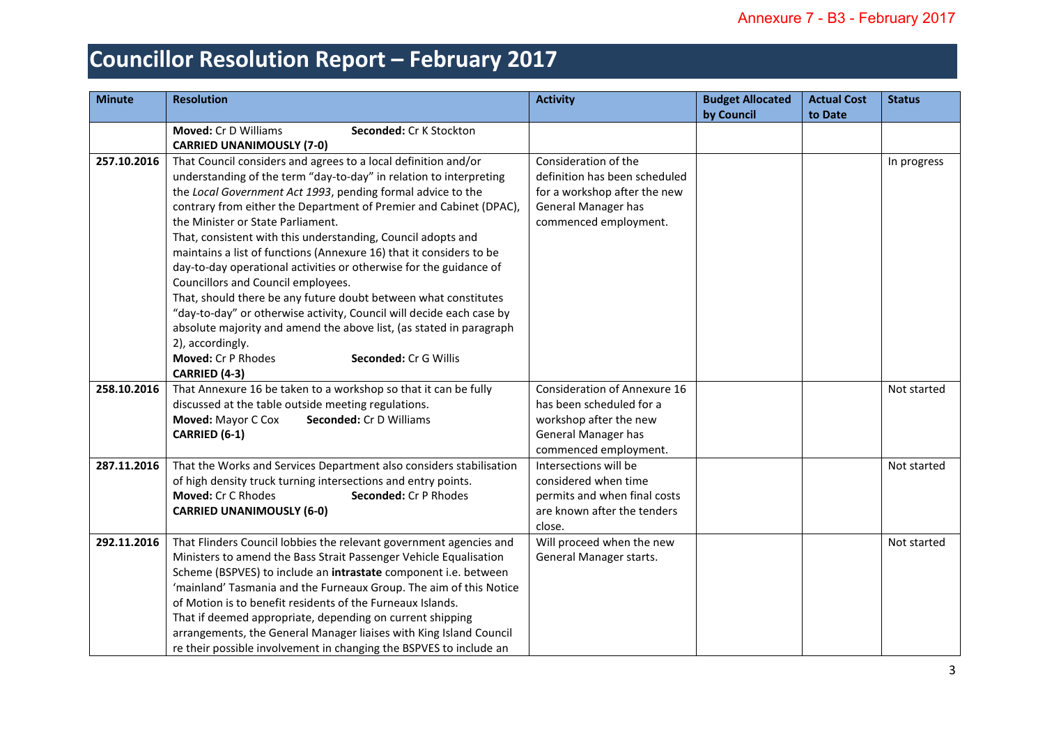| <b>Minute</b> | <b>Resolution</b>                                                                                  | <b>Activity</b>                                | <b>Budget Allocated</b> | <b>Actual Cost</b> | <b>Status</b> |
|---------------|----------------------------------------------------------------------------------------------------|------------------------------------------------|-------------------------|--------------------|---------------|
|               |                                                                                                    |                                                | by Council              | to Date            |               |
|               | <b>Moved: Cr D Williams</b><br>Seconded: Cr K Stockton                                             |                                                |                         |                    |               |
| 257.10.2016   | <b>CARRIED UNANIMOUSLY (7-0)</b><br>That Council considers and agrees to a local definition and/or | Consideration of the                           |                         |                    | In progress   |
|               | understanding of the term "day-to-day" in relation to interpreting                                 | definition has been scheduled                  |                         |                    |               |
|               | the Local Government Act 1993, pending formal advice to the                                        | for a workshop after the new                   |                         |                    |               |
|               | contrary from either the Department of Premier and Cabinet (DPAC),                                 | General Manager has                            |                         |                    |               |
|               | the Minister or State Parliament.                                                                  | commenced employment.                          |                         |                    |               |
|               | That, consistent with this understanding, Council adopts and                                       |                                                |                         |                    |               |
|               | maintains a list of functions (Annexure 16) that it considers to be                                |                                                |                         |                    |               |
|               | day-to-day operational activities or otherwise for the guidance of                                 |                                                |                         |                    |               |
|               | Councillors and Council employees.                                                                 |                                                |                         |                    |               |
|               | That, should there be any future doubt between what constitutes                                    |                                                |                         |                    |               |
|               | "day-to-day" or otherwise activity, Council will decide each case by                               |                                                |                         |                    |               |
|               | absolute majority and amend the above list, (as stated in paragraph                                |                                                |                         |                    |               |
|               | 2), accordingly.                                                                                   |                                                |                         |                    |               |
|               | Moved: Cr P Rhodes<br>Seconded: Cr G Willis                                                        |                                                |                         |                    |               |
|               | CARRIED (4-3)                                                                                      |                                                |                         |                    |               |
| 258.10.2016   | That Annexure 16 be taken to a workshop so that it can be fully                                    | Consideration of Annexure 16                   |                         |                    | Not started   |
|               | discussed at the table outside meeting regulations.                                                | has been scheduled for a                       |                         |                    |               |
|               | Moved: Mayor C Cox<br>Seconded: Cr D Williams                                                      | workshop after the new                         |                         |                    |               |
|               | CARRIED (6-1)                                                                                      | General Manager has                            |                         |                    |               |
| 287.11.2016   | That the Works and Services Department also considers stabilisation                                | commenced employment.<br>Intersections will be |                         |                    | Not started   |
|               | of high density truck turning intersections and entry points.                                      | considered when time                           |                         |                    |               |
|               | Moved: Cr C Rhodes<br>Seconded: Cr P Rhodes                                                        | permits and when final costs                   |                         |                    |               |
|               | <b>CARRIED UNANIMOUSLY (6-0)</b>                                                                   | are known after the tenders                    |                         |                    |               |
|               |                                                                                                    | close.                                         |                         |                    |               |
| 292.11.2016   | That Flinders Council lobbies the relevant government agencies and                                 | Will proceed when the new                      |                         |                    | Not started   |
|               | Ministers to amend the Bass Strait Passenger Vehicle Equalisation                                  | General Manager starts.                        |                         |                    |               |
|               | Scheme (BSPVES) to include an intrastate component i.e. between                                    |                                                |                         |                    |               |
|               | 'mainland' Tasmania and the Furneaux Group. The aim of this Notice                                 |                                                |                         |                    |               |
|               | of Motion is to benefit residents of the Furneaux Islands.                                         |                                                |                         |                    |               |
|               | That if deemed appropriate, depending on current shipping                                          |                                                |                         |                    |               |
|               | arrangements, the General Manager liaises with King Island Council                                 |                                                |                         |                    |               |
|               | re their possible involvement in changing the BSPVES to include an                                 |                                                |                         |                    |               |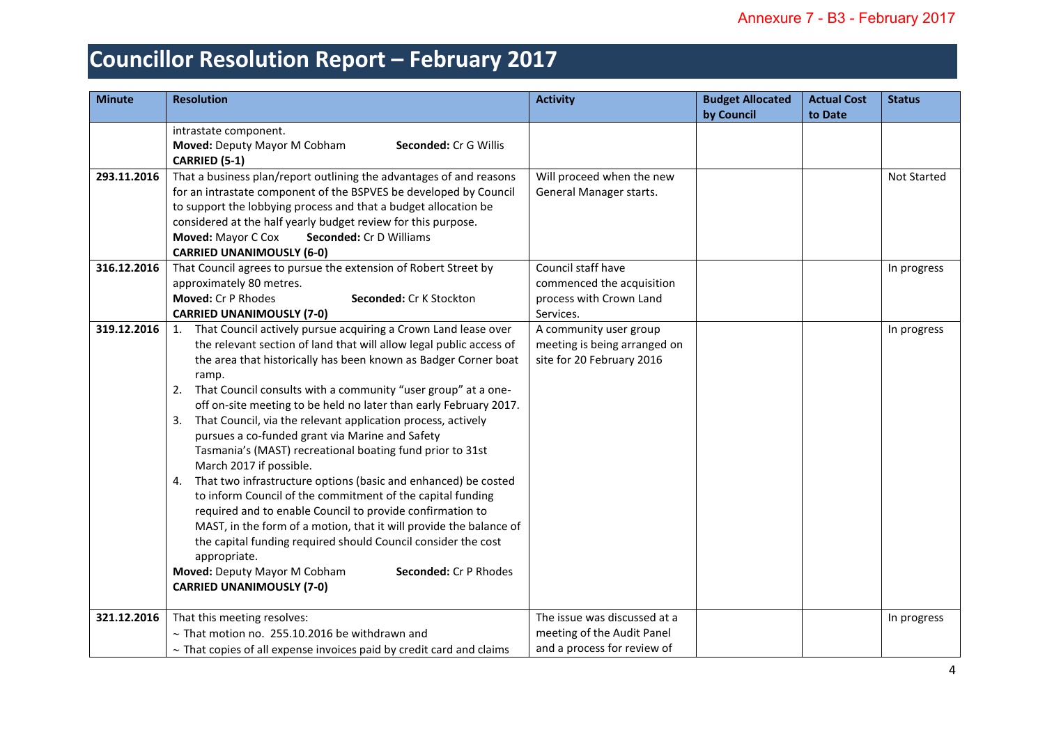| <b>Minute</b> | <b>Resolution</b>                                                         | <b>Activity</b>              | <b>Budget Allocated</b> | <b>Actual Cost</b> | <b>Status</b>      |
|---------------|---------------------------------------------------------------------------|------------------------------|-------------------------|--------------------|--------------------|
|               |                                                                           |                              | by Council              | to Date            |                    |
|               | intrastate component.                                                     |                              |                         |                    |                    |
|               | Moved: Deputy Mayor M Cobham<br>Seconded: Cr G Willis                     |                              |                         |                    |                    |
|               | CARRIED (5-1)                                                             |                              |                         |                    |                    |
| 293.11.2016   | That a business plan/report outlining the advantages of and reasons       | Will proceed when the new    |                         |                    | <b>Not Started</b> |
|               | for an intrastate component of the BSPVES be developed by Council         | General Manager starts.      |                         |                    |                    |
|               | to support the lobbying process and that a budget allocation be           |                              |                         |                    |                    |
|               | considered at the half yearly budget review for this purpose.             |                              |                         |                    |                    |
|               | Moved: Mayor C Cox<br>Seconded: Cr D Williams                             |                              |                         |                    |                    |
|               | <b>CARRIED UNANIMOUSLY (6-0)</b>                                          |                              |                         |                    |                    |
| 316.12.2016   | That Council agrees to pursue the extension of Robert Street by           | Council staff have           |                         |                    | In progress        |
|               | approximately 80 metres.                                                  | commenced the acquisition    |                         |                    |                    |
|               | Moved: Cr P Rhodes<br>Seconded: Cr K Stockton                             | process with Crown Land      |                         |                    |                    |
|               | <b>CARRIED UNANIMOUSLY (7-0)</b>                                          | Services.                    |                         |                    |                    |
| 319.12.2016   | 1. That Council actively pursue acquiring a Crown Land lease over         | A community user group       |                         |                    | In progress        |
|               | the relevant section of land that will allow legal public access of       | meeting is being arranged on |                         |                    |                    |
|               | the area that historically has been known as Badger Corner boat           | site for 20 February 2016    |                         |                    |                    |
|               | ramp.                                                                     |                              |                         |                    |                    |
|               | 2. That Council consults with a community "user group" at a one-          |                              |                         |                    |                    |
|               | off on-site meeting to be held no later than early February 2017.         |                              |                         |                    |                    |
|               | 3. That Council, via the relevant application process, actively           |                              |                         |                    |                    |
|               | pursues a co-funded grant via Marine and Safety                           |                              |                         |                    |                    |
|               | Tasmania's (MAST) recreational boating fund prior to 31st                 |                              |                         |                    |                    |
|               | March 2017 if possible.                                                   |                              |                         |                    |                    |
|               | 4. That two infrastructure options (basic and enhanced) be costed         |                              |                         |                    |                    |
|               | to inform Council of the commitment of the capital funding                |                              |                         |                    |                    |
|               | required and to enable Council to provide confirmation to                 |                              |                         |                    |                    |
|               | MAST, in the form of a motion, that it will provide the balance of        |                              |                         |                    |                    |
|               | the capital funding required should Council consider the cost             |                              |                         |                    |                    |
|               | appropriate.                                                              |                              |                         |                    |                    |
|               | Moved: Deputy Mayor M Cobham<br>Seconded: Cr P Rhodes                     |                              |                         |                    |                    |
|               | <b>CARRIED UNANIMOUSLY (7-0)</b>                                          |                              |                         |                    |                    |
|               |                                                                           |                              |                         |                    |                    |
| 321.12.2016   | That this meeting resolves:                                               | The issue was discussed at a |                         |                    | In progress        |
|               | $\sim$ That motion no. 255.10.2016 be withdrawn and                       | meeting of the Audit Panel   |                         |                    |                    |
|               | $\sim$ That copies of all expense invoices paid by credit card and claims | and a process for review of  |                         |                    |                    |